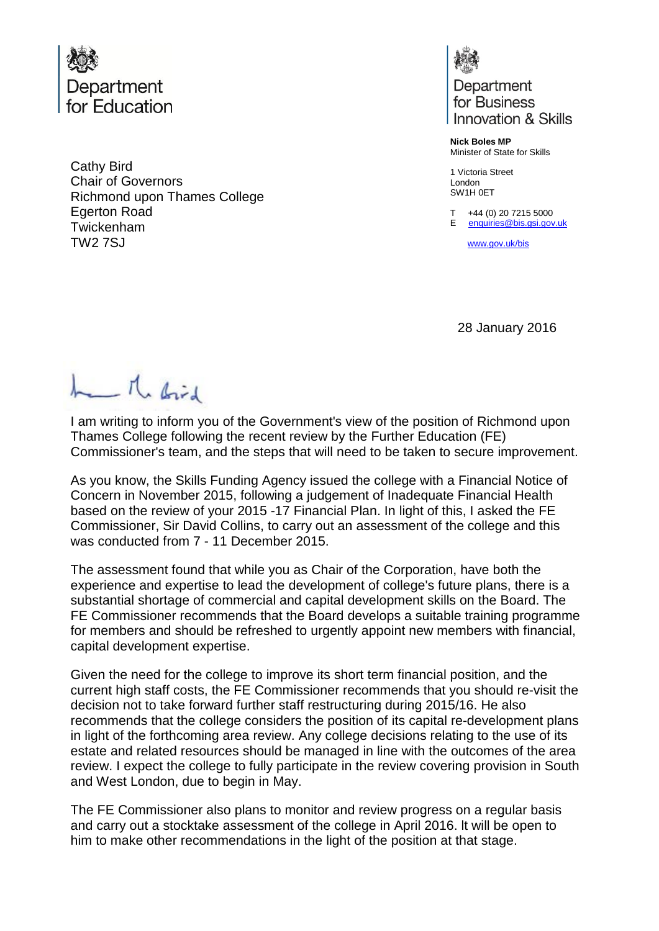

Cathy Bird Chair of Governors Richmond upon Thames College Egerton Road Twickenham TW2 7SJ



Department for Business Innovation & Skills

**Nick Boles MP** Minister of State for Skills

1 Victoria Street London SW1H 0ET

T +44 (0) 20 7215 5000 E [enquiries@bis.gsi.gov.uk](mailto:enquiries@bis.gsi.gov.uk)

[www.gov.uk/bis](http://www.gov.uk/bis) 

28 January 2016

Me Brid

I am writing to inform you of the Government's view of the position of Richmond upon Thames College following the recent review by the Further Education (FE) Commissioner's team, and the steps that will need to be taken to secure improvement.

As you know, the Skills Funding Agency issued the college with a Financial Notice of Concern in November 2015, following a judgement of Inadequate Financial Health based on the review of your 2015 -17 Financial Plan. In light of this, I asked the FE Commissioner, Sir David Collins, to carry out an assessment of the college and this was conducted from 7 - 11 December 2015.

The assessment found that while you as Chair of the Corporation, have both the experience and expertise to lead the development of college's future plans, there is a substantial shortage of commercial and capital development skills on the Board. The FE Commissioner recommends that the Board develops a suitable training programme for members and should be refreshed to urgently appoint new members with financial, capital development expertise.

Given the need for the college to improve its short term financial position, and the current high staff costs, the FE Commissioner recommends that you should re-visit the decision not to take forward further staff restructuring during 2015/16. He also recommends that the college considers the position of its capital re-development plans in light of the forthcoming area review. Any college decisions relating to the use of its estate and related resources should be managed in line with the outcomes of the area review. I expect the college to fully participate in the review covering provision in South and West London, due to begin in May.

The FE Commissioner also plans to monitor and review progress on a regular basis and carry out a stocktake assessment of the college in April 2016. lt will be open to him to make other recommendations in the light of the position at that stage.